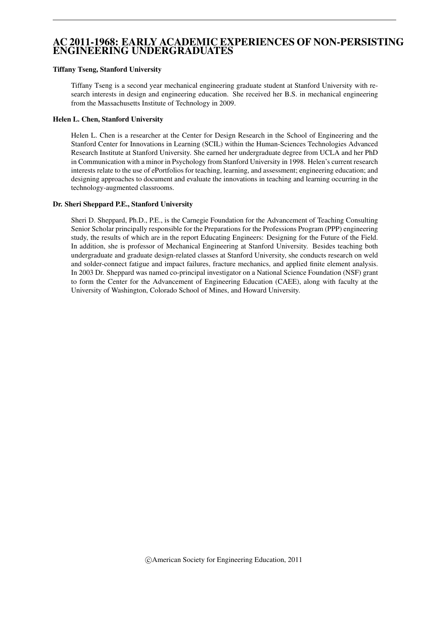#### AC 2011-1968: EARLY ACADEMIC EXPERIENCES OF NON-PERSISTING ENGINEERING UNDERGRADUATES

#### Tiffany Tseng, Stanford University

Tiffany Tseng is a second year mechanical engineering graduate student at Stanford University with research interests in design and engineering education. She received her B.S. in mechanical engineering from the Massachusetts Institute of Technology in 2009.

#### Helen L. Chen, Stanford University

Helen L. Chen is a researcher at the Center for Design Research in the School of Engineering and the Stanford Center for Innovations in Learning (SCIL) within the Human-Sciences Technologies Advanced Research Institute at Stanford University. She earned her undergraduate degree from UCLA and her PhD in Communication with a minor in Psychology from Stanford University in 1998. Helen's current research interests relate to the use of ePortfolios for teaching, learning, and assessment; engineering education; and designing approaches to document and evaluate the innovations in teaching and learning occurring in the technology-augmented classrooms.

#### Dr. Sheri Sheppard P.E., Stanford University

Sheri D. Sheppard, Ph.D., P.E., is the Carnegie Foundation for the Advancement of Teaching Consulting Senior Scholar principally responsible for the Preparations for the Professions Program (PPP) engineering study, the results of which are in the report Educating Engineers: Designing for the Future of the Field. In addition, she is professor of Mechanical Engineering at Stanford University. Besides teaching both undergraduate and graduate design-related classes at Stanford University, she conducts research on weld and solder-connect fatigue and impact failures, fracture mechanics, and applied finite element analysis. In 2003 Dr. Sheppard was named co-principal investigator on a National Science Foundation (NSF) grant to form the Center for the Advancement of Engineering Education (CAEE), along with faculty at the University of Washington, Colorado School of Mines, and Howard University.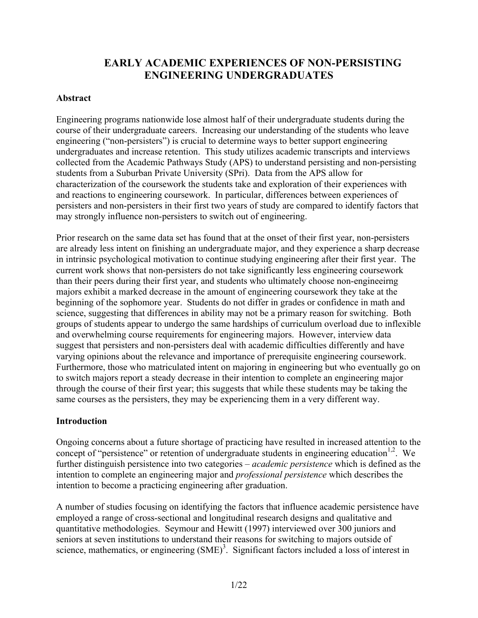# **EARLY ACADEMIC EXPERIENCES OF NON-PERSISTING ENGINEERING UNDERGRADUATES**

#### **Abstract**

Engineering programs nationwide lose almost half of their undergraduate students during the course of their undergraduate careers. Increasing our understanding of the students who leave engineering ("non-persisters") is crucial to determine ways to better support engineering undergraduates and increase retention. This study utilizes academic transcripts and interviews collected from the Academic Pathways Study (APS) to understand persisting and non-persisting students from a Suburban Private University (SPri). Data from the APS allow for characterization of the coursework the students take and exploration of their experiences with and reactions to engineering coursework. In particular, differences between experiences of persisters and non-persisters in their first two years of study are compared to identify factors that may strongly influence non-persisters to switch out of engineering.

Prior research on the same data set has found that at the onset of their first year, non-persisters are already less intent on finishing an undergraduate major, and they experience a sharp decrease in intrinsic psychological motivation to continue studying engineering after their first year. The current work shows that non-persisters do not take significantly less engineering coursework than their peers during their first year, and students who ultimately choose non-engineeirng majors exhibit a marked decrease in the amount of engineering coursework they take at the beginning of the sophomore year. Students do not differ in grades or confidence in math and science, suggesting that differences in ability may not be a primary reason for switching. Both groups of students appear to undergo the same hardships of curriculum overload due to inflexible and overwhelming course requirements for engineering majors. However, interview data suggest that persisters and non-persisters deal with academic difficulties differently and have varying opinions about the relevance and importance of prerequisite engineering coursework. Furthermore, those who matriculated intent on majoring in engineering but who eventually go on to switch majors report a steady decrease in their intention to complete an engineering major through the course of their first year; this suggests that while these students may be taking the same courses as the persisters, they may be experiencing them in a very different way.

#### **Introduction**

Ongoing concerns about a future shortage of practicing have resulted in increased attention to the concept of "persistence" or retention of undergraduate students in engineering education<sup>1,2</sup>. We further distinguish persistence into two categories – *academic persistence* which is defined as the intention to complete an engineering major and *professional persistence* which describes the intention to become a practicing engineering after graduation.

A number of studies focusing on identifying the factors that influence academic persistence have employed a range of cross-sectional and longitudinal research designs and qualitative and quantitative methodologies. Seymour and Hewitt (1997) interviewed over 300 juniors and seniors at seven institutions to understand their reasons for switching to majors outside of science, mathematics, or engineering  $(SME)^3$ . Significant factors included a loss of interest in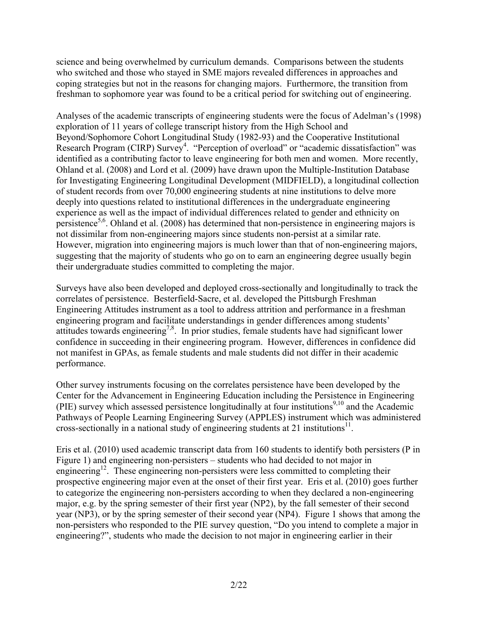science and being overwhelmed by curriculum demands. Comparisons between the students who switched and those who stayed in SME majors revealed differences in approaches and coping strategies but not in the reasons for changing majors. Furthermore, the transition from freshman to sophomore year was found to be a critical period for switching out of engineering.

Analyses of the academic transcripts of engineering students were the focus of Adelman's (1998) exploration of 11 years of college transcript history from the High School and Beyond/Sophomore Cohort Longitudinal Study (1982-93) and the Cooperative Institutional Research Program (CIRP) Survey<sup>4</sup>. "Perception of overload" or "academic dissatisfaction" was identified as a contributing factor to leave engineering for both men and women. More recently, Ohland et al. (2008) and Lord et al. (2009) have drawn upon the Multiple-Institution Database for Investigating Engineering Longitudinal Development (MIDFIELD), a longitudinal collection of student records from over 70,000 engineering students at nine institutions to delve more deeply into questions related to institutional differences in the undergraduate engineering experience as well as the impact of individual differences related to gender and ethnicity on persistence<sup>5,6</sup>. Ohland et al. (2008) has determined that non-persistence in engineering majors is not dissimilar from non-engineering majors since students non-persist at a similar rate. However, migration into engineering majors is much lower than that of non-engineering majors, suggesting that the majority of students who go on to earn an engineering degree usually begin their undergraduate studies committed to completing the major.

Surveys have also been developed and deployed cross-sectionally and longitudinally to track the correlates of persistence. Besterfield-Sacre, et al. developed the Pittsburgh Freshman Engineering Attitudes instrument as a tool to address attrition and performance in a freshman engineering program and facilitate understandings in gender differences among students' attitudes towards engineering<sup>7,8</sup>. In prior studies, female students have had significant lower confidence in succeeding in their engineering program. However, differences in confidence did not manifest in GPAs, as female students and male students did not differ in their academic performance.

Other survey instruments focusing on the correlates persistence have been developed by the Center for the Advancement in Engineering Education including the Persistence in Engineering (PIE) survey which assessed persistence longitudinally at four institutions<sup>9,10</sup> and the Academic Pathways of People Learning Engineering Survey (APPLES) instrument which was administered cross-sectionally in a national study of engineering students at 21 institutions<sup>11</sup>.

Eris et al. (2010) used academic transcript data from 160 students to identify both persisters (P in Figure 1) and engineering non-persisters – students who had decided to not major in engineering<sup>12</sup>. These engineering non-persisters were less committed to completing their prospective engineering major even at the onset of their first year. Eris et al. (2010) goes further to categorize the engineering non-persisters according to when they declared a non-engineering major, e.g. by the spring semester of their first year (NP2), by the fall semester of their second year (NP3), or by the spring semester of their second year (NP4). Figure 1 shows that among the non-persisters who responded to the PIE survey question, "Do you intend to complete a major in engineering?", students who made the decision to not major in engineering earlier in their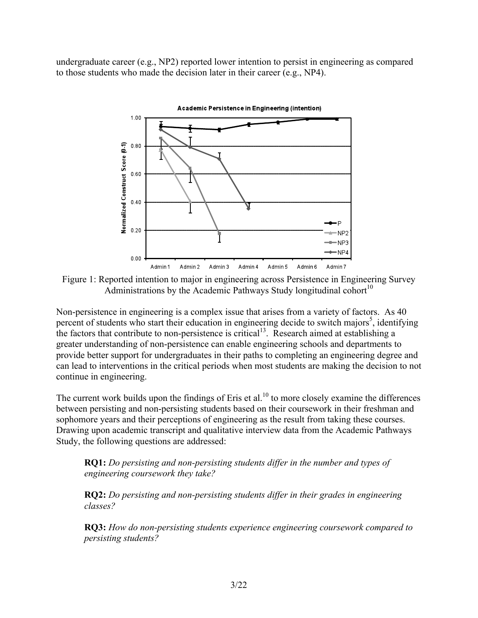undergraduate career (e.g., NP2) reported lower intention to persist in engineering as compared to those students who made the decision later in their career (e.g., NP4).



Figure 1: Reported intention to major in engineering across Persistence in Engineering Survey Administrations by the Academic Pathways Study longitudinal cohort<sup>10</sup>

Non-persistence in engineering is a complex issue that arises from a variety of factors. As 40 percent of students who start their education in engineering decide to switch majors<sup>5</sup>, identifying the factors that contribute to non-persistence is critical<sup>13</sup>. Research aimed at establishing a greater understanding of non-persistence can enable engineering schools and departments to provide better support for undergraduates in their paths to completing an engineering degree and can lead to interventions in the critical periods when most students are making the decision to not continue in engineering.

The current work builds upon the findings of Eris et al.<sup>10</sup> to more closely examine the differences between persisting and non-persisting students based on their coursework in their freshman and sophomore years and their perceptions of engineering as the result from taking these courses. Drawing upon academic transcript and qualitative interview data from the Academic Pathways Study, the following questions are addressed:

**RQ1:** *Do persisting and non-persisting students differ in the number and types of engineering coursework they take?*

**RQ2:** *Do persisting and non-persisting students differ in their grades in engineering classes?*

**RQ3:** *How do non-persisting students experience engineering coursework compared to persisting students?*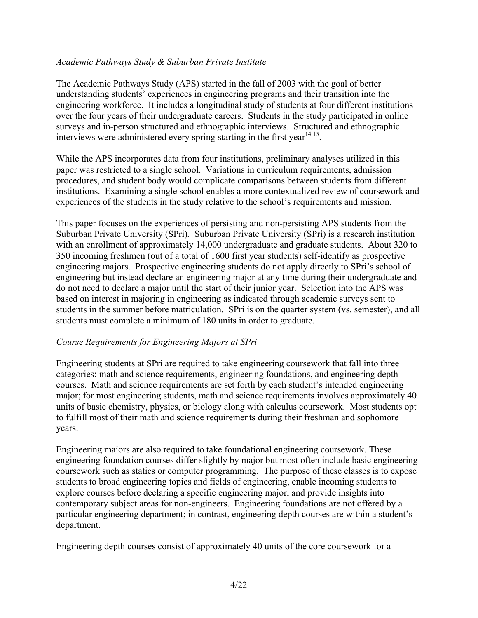#### *Academic Pathways Study & Suburban Private Institute*

The Academic Pathways Study (APS) started in the fall of 2003 with the goal of better understanding students' experiences in engineering programs and their transition into the engineering workforce. It includes a longitudinal study of students at four different institutions over the four years of their undergraduate careers. Students in the study participated in online surveys and in-person structured and ethnographic interviews. Structured and ethnographic interviews were administered every spring starting in the first year<sup>14,15</sup>.

While the APS incorporates data from four institutions, preliminary analyses utilized in this paper was restricted to a single school. Variations in curriculum requirements, admission procedures, and student body would complicate comparisons between students from different institutions. Examining a single school enables a more contextualized review of coursework and experiences of the students in the study relative to the school's requirements and mission.

This paper focuses on the experiences of persisting and non-persisting APS students from the Suburban Private University (SPri)*.* Suburban Private University (SPri) is a research institution with an enrollment of approximately 14,000 undergraduate and graduate students. About 320 to 350 incoming freshmen (out of a total of 1600 first year students) self-identify as prospective engineering majors. Prospective engineering students do not apply directly to SPri's school of engineering but instead declare an engineering major at any time during their undergraduate and do not need to declare a major until the start of their junior year. Selection into the APS was based on interest in majoring in engineering as indicated through academic surveys sent to students in the summer before matriculation. SPri is on the quarter system (vs. semester), and all students must complete a minimum of 180 units in order to graduate.

#### *Course Requirements for Engineering Majors at SPri*

Engineering students at SPri are required to take engineering coursework that fall into three categories: math and science requirements, engineering foundations, and engineering depth courses. Math and science requirements are set forth by each student's intended engineering major; for most engineering students, math and science requirements involves approximately 40 units of basic chemistry, physics, or biology along with calculus coursework. Most students opt to fulfill most of their math and science requirements during their freshman and sophomore years.

Engineering majors are also required to take foundational engineering coursework. These engineering foundation courses differ slightly by major but most often include basic engineering coursework such as statics or computer programming. The purpose of these classes is to expose students to broad engineering topics and fields of engineering, enable incoming students to explore courses before declaring a specific engineering major, and provide insights into contemporary subject areas for non-engineers. Engineering foundations are not offered by a particular engineering department; in contrast, engineering depth courses are within a student's department.

Engineering depth courses consist of approximately 40 units of the core coursework for a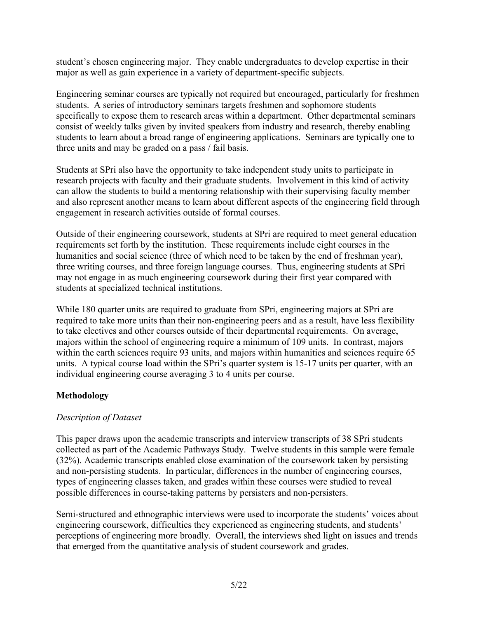student's chosen engineering major. They enable undergraduates to develop expertise in their major as well as gain experience in a variety of department-specific subjects.

Engineering seminar courses are typically not required but encouraged, particularly for freshmen students. A series of introductory seminars targets freshmen and sophomore students specifically to expose them to research areas within a department. Other departmental seminars consist of weekly talks given by invited speakers from industry and research, thereby enabling students to learn about a broad range of engineering applications. Seminars are typically one to three units and may be graded on a pass / fail basis.

Students at SPri also have the opportunity to take independent study units to participate in research projects with faculty and their graduate students. Involvement in this kind of activity can allow the students to build a mentoring relationship with their supervising faculty member and also represent another means to learn about different aspects of the engineering field through engagement in research activities outside of formal courses.

Outside of their engineering coursework, students at SPri are required to meet general education requirements set forth by the institution. These requirements include eight courses in the humanities and social science (three of which need to be taken by the end of freshman year), three writing courses, and three foreign language courses. Thus, engineering students at SPri may not engage in as much engineering coursework during their first year compared with students at specialized technical institutions.

While 180 quarter units are required to graduate from SPri, engineering majors at SPri are required to take more units than their non-engineering peers and as a result, have less flexibility to take electives and other courses outside of their departmental requirements. On average, majors within the school of engineering require a minimum of 109 units. In contrast, majors within the earth sciences require 93 units, and majors within humanities and sciences require 65 units. A typical course load within the SPri's quarter system is 15-17 units per quarter, with an individual engineering course averaging 3 to 4 units per course.

#### **Methodology**

#### *Description of Dataset*

This paper draws upon the academic transcripts and interview transcripts of 38 SPri students collected as part of the Academic Pathways Study. Twelve students in this sample were female (32%). Academic transcripts enabled close examination of the coursework taken by persisting and non-persisting students. In particular, differences in the number of engineering courses, types of engineering classes taken, and grades within these courses were studied to reveal possible differences in course-taking patterns by persisters and non-persisters.

Semi-structured and ethnographic interviews were used to incorporate the students' voices about engineering coursework, difficulties they experienced as engineering students, and students' perceptions of engineering more broadly. Overall, the interviews shed light on issues and trends that emerged from the quantitative analysis of student coursework and grades.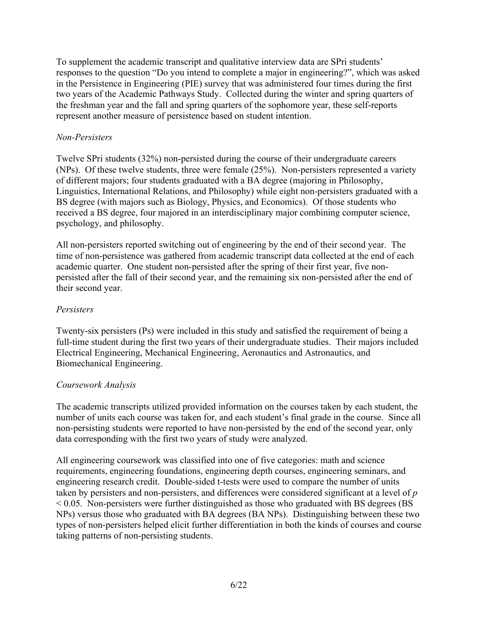To supplement the academic transcript and qualitative interview data are SPri students' responses to the question "Do you intend to complete a major in engineering?", which was asked in the Persistence in Engineering (PIE) survey that was administered four times during the first two years of the Academic Pathways Study. Collected during the winter and spring quarters of the freshman year and the fall and spring quarters of the sophomore year, these self-reports represent another measure of persistence based on student intention.

#### *Non-Persisters*

Twelve SPri students (32%) non-persisted during the course of their undergraduate careers (NPs). Of these twelve students, three were female (25%). Non-persisters represented a variety of different majors; four students graduated with a BA degree (majoring in Philosophy, Linguistics, International Relations, and Philosophy) while eight non-persisters graduated with a BS degree (with majors such as Biology, Physics, and Economics). Of those students who received a BS degree, four majored in an interdisciplinary major combining computer science, psychology, and philosophy.

All non-persisters reported switching out of engineering by the end of their second year. The time of non-persistence was gathered from academic transcript data collected at the end of each academic quarter. One student non-persisted after the spring of their first year, five nonpersisted after the fall of their second year, and the remaining six non-persisted after the end of their second year.

### *Persisters*

Twenty-six persisters (Ps) were included in this study and satisfied the requirement of being a full-time student during the first two years of their undergraduate studies. Their majors included Electrical Engineering, Mechanical Engineering, Aeronautics and Astronautics, and Biomechanical Engineering.

## *Coursework Analysis*

The academic transcripts utilized provided information on the courses taken by each student, the number of units each course was taken for, and each student's final grade in the course. Since all non-persisting students were reported to have non-persisted by the end of the second year, only data corresponding with the first two years of study were analyzed.

All engineering coursework was classified into one of five categories: math and science requirements, engineering foundations, engineering depth courses, engineering seminars, and engineering research credit. Double-sided t-tests were used to compare the number of units taken by persisters and non-persisters, and differences were considered significant at a level of *p*   $\leq$  0.05. Non-persisters were further distinguished as those who graduated with BS degrees (BS NPs) versus those who graduated with BA degrees (BA NPs). Distinguishing between these two types of non-persisters helped elicit further differentiation in both the kinds of courses and course taking patterns of non-persisting students.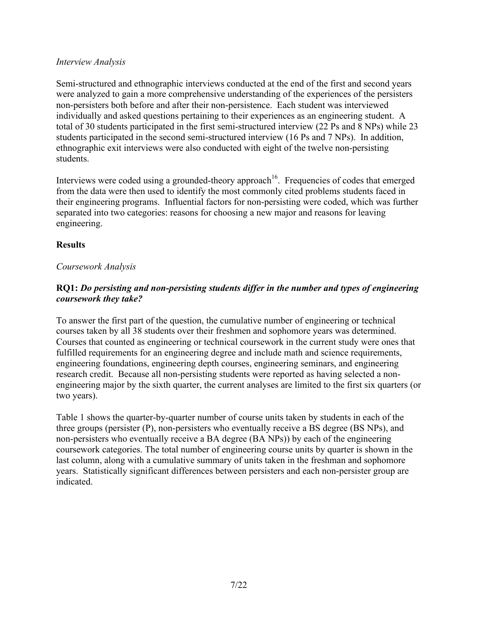#### *Interview Analysis*

Semi-structured and ethnographic interviews conducted at the end of the first and second years were analyzed to gain a more comprehensive understanding of the experiences of the persisters non-persisters both before and after their non-persistence. Each student was interviewed individually and asked questions pertaining to their experiences as an engineering student. A total of 30 students participated in the first semi-structured interview (22 Ps and 8 NPs) while 23 students participated in the second semi-structured interview (16 Ps and 7 NPs). In addition, ethnographic exit interviews were also conducted with eight of the twelve non-persisting students.

Interviews were coded using a grounded-theory approach<sup>16</sup>. Frequencies of codes that emerged from the data were then used to identify the most commonly cited problems students faced in their engineering programs. Influential factors for non-persisting were coded, which was further separated into two categories: reasons for choosing a new major and reasons for leaving engineering.

#### **Results**

#### *Coursework Analysis*

### **RQ1:** *Do persisting and non-persisting students differ in the number and types of engineering coursework they take?*

To answer the first part of the question, the cumulative number of engineering or technical courses taken by all 38 students over their freshmen and sophomore years was determined. Courses that counted as engineering or technical coursework in the current study were ones that fulfilled requirements for an engineering degree and include math and science requirements, engineering foundations, engineering depth courses, engineering seminars, and engineering research credit. Because all non-persisting students were reported as having selected a nonengineering major by the sixth quarter, the current analyses are limited to the first six quarters (or two years).

Table 1 shows the quarter-by-quarter number of course units taken by students in each of the three groups (persister (P), non-persisters who eventually receive a BS degree (BS NPs), and non-persisters who eventually receive a BA degree (BA NPs)) by each of the engineering coursework categories. The total number of engineering course units by quarter is shown in the last column, along with a cumulative summary of units taken in the freshman and sophomore years. Statistically significant differences between persisters and each non-persister group are indicated.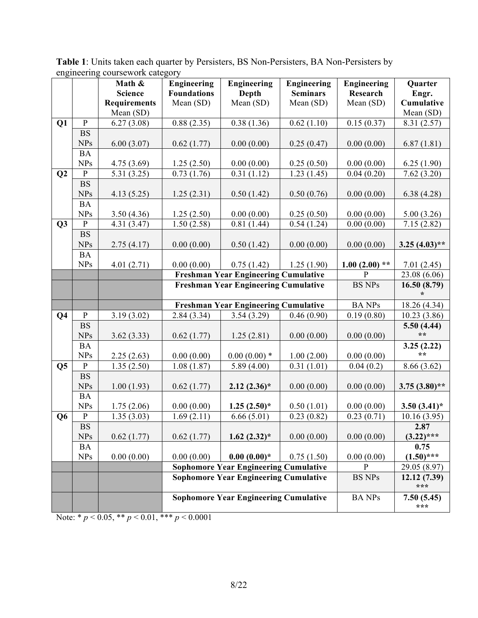|                |                        | Math &              | Engineering                                  | <b>Engineering</b>                          | <b>Engineering</b> | <b>Engineering</b>   | Quarter          |
|----------------|------------------------|---------------------|----------------------------------------------|---------------------------------------------|--------------------|----------------------|------------------|
|                |                        | <b>Science</b>      | <b>Foundations</b>                           | Depth                                       | <b>Seminars</b>    | Research             | Engr.            |
|                |                        | <b>Requirements</b> | Mean (SD)                                    | Mean (SD)                                   | Mean (SD)          | Mean (SD)            | Cumulative       |
|                |                        | Mean (SD)           |                                              |                                             |                    |                      | Mean (SD)        |
| Q1             | $\overline{P}$         | 6.27(3.08)          | 0.88(2.35)                                   | 0.38(1.36)                                  | 0.62(1.10)         | 0.15(0.37)           | 8.31 (2.57)      |
|                | <b>BS</b>              |                     |                                              |                                             |                    |                      |                  |
|                | NPs                    | 6.00(3.07)          | 0.62(1.77)                                   | 0.00(0.00)                                  | 0.25(0.47)         | 0.00(0.00)           | 6.87(1.81)       |
|                | <b>BA</b>              |                     |                                              |                                             |                    |                      |                  |
|                | <b>NPs</b>             | 4.75(3.69)          | 1.25(2.50)                                   | 0.00(0.00)                                  | 0.25(0.50)         | 0.00(0.00)           | 6.25(1.90)       |
| Q2             | ${\bf P}$              | 5.31(3.25)          | 0.73(1.76)                                   | 0.31(1.12)                                  | 1.23(1.45)         | 0.04(0.20)           | 7.62(3.20)       |
|                | <b>BS</b>              |                     |                                              |                                             |                    |                      |                  |
|                | NPs                    | 4.13(5.25)          | 1.25(2.31)                                   | 0.50(1.42)                                  | 0.50(0.76)         | 0.00(0.00)           | 6.38(4.28)       |
|                | <b>BA</b>              |                     |                                              |                                             |                    |                      |                  |
|                | NPs                    | 3.50(4.36)          | 1.25(2.50)                                   | 0.00(0.00)                                  | 0.25(0.50)         | 0.00(0.00)           | 5.00(3.26)       |
| Q3             | $\, {\bf p}$           | 4.31(3.47)          | 1.50(2.58)                                   | 0.81(1.44)                                  | 0.54(1.24)         | 0.00(0.00)           | 7.15(2.82)       |
|                | <b>BS</b>              |                     |                                              |                                             |                    |                      |                  |
|                | NPs                    | 2.75(4.17)          | 0.00(0.00)                                   | 0.50(1.42)                                  | 0.00(0.00)         | 0.00(0.00)           | $3.25(4.03)$ **  |
|                | BA                     |                     |                                              |                                             |                    |                      |                  |
|                | NPs                    | 4.01(2.71)          | 0.00(0.00)                                   | 0.75(1.42)                                  | 1.25(1.90)         | $1.00(2.00)$ **      | 7.01(2.45)       |
|                |                        |                     |                                              | <b>Freshman Year Engineering Cumulative</b> |                    | $\mathbf{P}$         | 23.08 (6.06)     |
|                |                        |                     |                                              | <b>Freshman Year Engineering Cumulative</b> |                    | <b>BS NPs</b>        | 16.50(8.79)      |
|                |                        |                     |                                              |                                             |                    |                      | $\star$          |
|                |                        |                     |                                              | <b>Freshman Year Engineering Cumulative</b> |                    | <b>BANPs</b>         | 18.26 (4.34)     |
| Q <sub>4</sub> | $\, {\bf p}$           | 3.19(3.02)          | 2.84(3.34)                                   | 3.54(3.29)                                  | 0.46(0.90)         | 0.19(0.80)           | 10.23(3.86)      |
|                | $\mathbf{B}\mathbf{S}$ |                     |                                              |                                             |                    |                      | 5.50 (4.44)      |
|                | <b>NPs</b>             | 3.62(3.33)          | 0.62(1.77)                                   | 1.25(2.81)                                  | 0.00(0.00)         | 0.00(0.00)           | $\star\star$     |
|                | BA                     |                     |                                              |                                             |                    |                      | 3.25(2.22)       |
|                | NPs                    | 2.25(2.63)          | 0.00(0.00)                                   | $0.00(0.00)*$                               | 1.00(2.00)         | 0.00(0.00)           | **               |
| Q <sub>5</sub> | ${\bf P}$              | 1.35(2.50)          | 1.08(1.87)                                   | 5.89(4.00)                                  | 0.31(1.01)         | 0.04(0.2)            | 8.66(3.62)       |
|                | $\mathbf{B}\mathbf{S}$ |                     |                                              |                                             |                    |                      |                  |
|                | NPs                    | 1.00(1.93)          | 0.62(1.77)                                   | $2.12(2.36)^{*}$                            | 0.00(0.00)         | 0.00(0.00)           | $3.75(3.80)$ **  |
|                | BA                     |                     |                                              |                                             |                    |                      |                  |
|                | NPs                    | 1.75(2.06)          | 0.00(0.00)                                   | $1.25(2.50)^{*}$                            | 0.50(1.01)         | 0.00(0.00)           | $3.50(3.41)^{*}$ |
| Q <sub>6</sub> | ${\bf P}$              | 1.35(3.03)          | 1.69(2.11)                                   | 6.66(5.01)                                  | 0.23(0.82)         | 0.23(0.71)           | 10.16(3.95)      |
|                | $\overline{\text{BS}}$ |                     |                                              |                                             |                    |                      | 2.87             |
|                | <b>NPs</b>             | 0.62(1.77)          | 0.62(1.77)                                   | $1.62(2.32)^{*}$                            | 0.00(0.00)         | 0.00(0.00)           | $(3.22)$ ***     |
|                | <b>BA</b>              |                     |                                              |                                             |                    |                      | 0.75             |
|                | NPs                    | 0.00(0.00)          | 0.00(0.00)                                   | $0.00(0.00)*$                               | 0.75(1.50)         | 0.00(0.00)           | $(1.50)$ ***     |
|                |                        |                     | <b>Sophomore Year Engineering Cumulative</b> |                                             |                    | P                    | 29.05 (8.97)     |
|                |                        |                     | <b>Sophomore Year Engineering Cumulative</b> |                                             | <b>BS NPs</b>      | 12.12(7.39)<br>$***$ |                  |
|                |                        |                     |                                              |                                             |                    |                      |                  |
|                |                        |                     | <b>Sophomore Year Engineering Cumulative</b> |                                             | <b>BANPs</b>       | 7.50(5.45)<br>$***$  |                  |
|                |                        |                     |                                              |                                             |                    |                      |                  |

**Table 1**: Units taken each quarter by Persisters, BS Non-Persisters, BA Non-Persisters by engineering coursework category

Note: \* *p* < 0.05, \*\* *p* < 0.01, \*\*\* *p* < 0.0001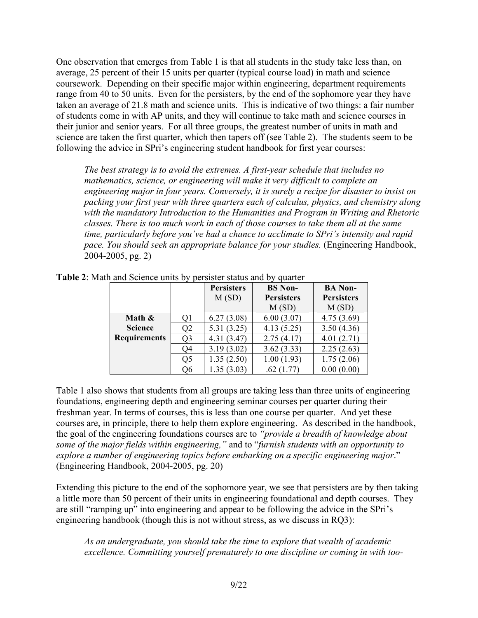One observation that emerges from Table 1 is that all students in the study take less than, on average, 25 percent of their 15 units per quarter (typical course load) in math and science coursework. Depending on their specific major within engineering, department requirements range from 40 to 50 units. Even for the persisters, by the end of the sophomore year they have taken an average of 21.8 math and science units. This is indicative of two things: a fair number of students come in with AP units, and they will continue to take math and science courses in their junior and senior years. For all three groups, the greatest number of units in math and science are taken the first quarter, which then tapers off (see Table 2). The students seem to be following the advice in SPri's engineering student handbook for first year courses:

*The best strategy is to avoid the extremes. A first-year schedule that includes no mathematics, science, or engineering will make it very difficult to complete an engineering major in four years. Conversely, it is surely a recipe for disaster to insist on packing your first year with three quarters each of calculus, physics, and chemistry along with the mandatory Introduction to the Humanities and Program in Writing and Rhetoric classes. There is too much work in each of those courses to take them all at the same time, particularly before you've had a chance to acclimate to SPri's intensity and rapid pace. You should seek an appropriate balance for your studies.* (Engineering Handbook, 2004-2005, pg. 2)

|                     |                | <b>Persisters</b> | <b>BS</b> Non-    | <b>BA</b> Non-    |
|---------------------|----------------|-------------------|-------------------|-------------------|
|                     |                | M(SD)             | <b>Persisters</b> | <b>Persisters</b> |
|                     |                |                   | M(SD)             | M(SD)             |
| Math &              | O1             | 6.27(3.08)        | 6.00(3.07)        | 4.75(3.69)        |
| <b>Science</b>      | Q <sub>2</sub> | 5.31(3.25)        | 4.13(5.25)        | 3.50(4.36)        |
| <b>Requirements</b> | Q <sub>3</sub> | 4.31(3.47)        | 2.75(4.17)        | 4.01(2.71)        |
|                     | Q4             | 3.19(3.02)        | 3.62(3.33)        | 2.25(2.63)        |
|                     | Q5             | 1.35(2.50)        | 1.00(1.93)        | 1.75(2.06)        |
|                     | Ο6             | 1.35(3.03)        | .62(1.77)         | 0.00(0.00)        |

**Table 2**: Math and Science units by persister status and by quarter

Table 1 also shows that students from all groups are taking less than three units of engineering foundations, engineering depth and engineering seminar courses per quarter during their freshman year. In terms of courses, this is less than one course per quarter. And yet these courses are, in principle, there to help them explore engineering. As described in the handbook, the goal of the engineering foundations courses are to *"provide a breadth of knowledge about some of the major fields within engineering,"* and to "*furnish students with an opportunity to explore a number of engineering topics before embarking on a specific engineering major*." (Engineering Handbook, 2004-2005, pg. 20)

Extending this picture to the end of the sophomore year, we see that persisters are by then taking a little more than 50 percent of their units in engineering foundational and depth courses. They are still "ramping up" into engineering and appear to be following the advice in the SPri's engineering handbook (though this is not without stress, as we discuss in RQ3):

*As an undergraduate, you should take the time to explore that wealth of academic excellence. Committing yourself prematurely to one discipline or coming in with too-*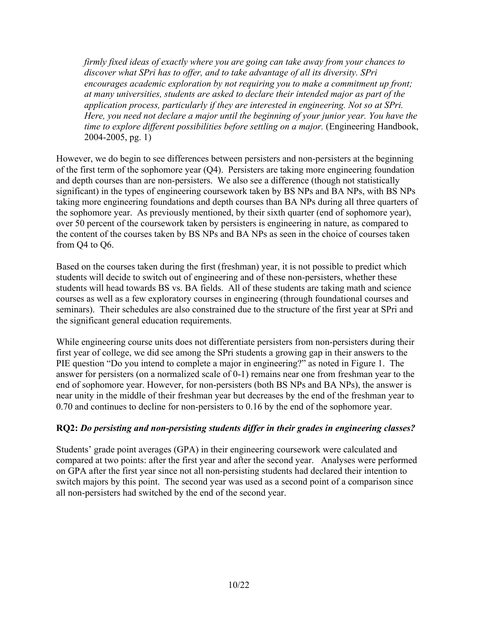*firmly fixed ideas of exactly where you are going can take away from your chances to discover what SPri has to offer, and to take advantage of all its diversity. SPri encourages academic exploration by not requiring you to make a commitment up front; at many universities, students are asked to declare their intended major as part of the application process, particularly if they are interested in engineering. Not so at SPri. Here, you need not declare a major until the beginning of your junior year. You have the time to explore different possibilities before settling on a major.* (Engineering Handbook, 2004-2005, pg. 1)

However, we do begin to see differences between persisters and non-persisters at the beginning of the first term of the sophomore year (Q4). Persisters are taking more engineering foundation and depth courses than are non-persisters. We also see a difference (though not statistically significant) in the types of engineering coursework taken by BS NPs and BA NPs, with BS NPs taking more engineering foundations and depth courses than BA NPs during all three quarters of the sophomore year. As previously mentioned, by their sixth quarter (end of sophomore year), over 50 percent of the coursework taken by persisters is engineering in nature, as compared to the content of the courses taken by BS NPs and BA NPs as seen in the choice of courses taken from Q4 to Q6.

Based on the courses taken during the first (freshman) year, it is not possible to predict which students will decide to switch out of engineering and of these non-persisters, whether these students will head towards BS vs. BA fields. All of these students are taking math and science courses as well as a few exploratory courses in engineering (through foundational courses and seminars). Their schedules are also constrained due to the structure of the first year at SPri and the significant general education requirements.

While engineering course units does not differentiate persisters from non-persisters during their first year of college, we did see among the SPri students a growing gap in their answers to the PIE question "Do you intend to complete a major in engineering?" as noted in Figure 1. The answer for persisters (on a normalized scale of 0-1) remains near one from freshman year to the end of sophomore year. However, for non-persisters (both BS NPs and BA NPs), the answer is near unity in the middle of their freshman year but decreases by the end of the freshman year to 0.70 and continues to decline for non-persisters to 0.16 by the end of the sophomore year.

#### **RQ2:** *Do persisting and non-persisting students differ in their grades in engineering classes?*

Students' grade point averages (GPA) in their engineering coursework were calculated and compared at two points: after the first year and after the second year. Analyses were performed on GPA after the first year since not all non-persisting students had declared their intention to switch majors by this point. The second year was used as a second point of a comparison since all non-persisters had switched by the end of the second year.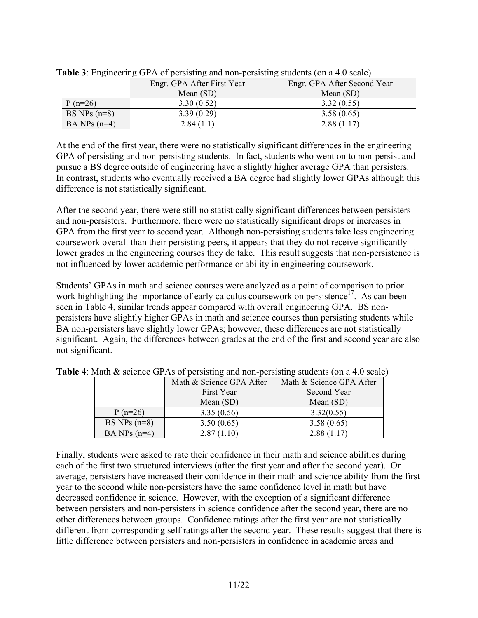|                | Twore c. Engineering STTT of persisting and non-persisting stateme (on a 1.0 searc) |                             |  |  |
|----------------|-------------------------------------------------------------------------------------|-----------------------------|--|--|
|                | Engr. GPA After First Year                                                          | Engr. GPA After Second Year |  |  |
|                | Mean $(SD)$                                                                         | Mean $(SD)$                 |  |  |
| $P(n=26)$      | 3.30(0.52)                                                                          | 3.32(0.55)                  |  |  |
| BS NPs $(n=8)$ | 3.39(0.29)                                                                          | 3.58(0.65)                  |  |  |
| BA NPs $(n=4)$ | 2.84(1.1)                                                                           | 2.88(1.17)                  |  |  |

**Table 3**: Engineering GPA of persisting and non-persisting students (on a 4.0 scale)

At the end of the first year, there were no statistically significant differences in the engineering GPA of persisting and non-persisting students. In fact, students who went on to non-persist and pursue a BS degree outside of engineering have a slightly higher average GPA than persisters. In contrast, students who eventually received a BA degree had slightly lower GPAs although this difference is not statistically significant.

After the second year, there were still no statistically significant differences between persisters and non-persisters. Furthermore, there were no statistically significant drops or increases in GPA from the first year to second year. Although non-persisting students take less engineering coursework overall than their persisting peers, it appears that they do not receive significantly lower grades in the engineering courses they do take. This result suggests that non-persistence is not influenced by lower academic performance or ability in engineering coursework.

Students' GPAs in math and science courses were analyzed as a point of comparison to prior work highlighting the importance of early calculus coursework on persistence<sup>17</sup>. As can been seen in Table 4, similar trends appear compared with overall engineering GPA. BS nonpersisters have slightly higher GPAs in math and science courses than persisting students while BA non-persisters have slightly lower GPAs; however, these differences are not statistically significant. Again, the differences between grades at the end of the first and second year are also not significant.

|                | Math & Science GPA After | Math & Science GPA After |
|----------------|--------------------------|--------------------------|
|                | First Year               | Second Year              |
|                | Mean $(SD)$              | Mean $(SD)$              |
| $P(n=26)$      | 3.35(0.56)               | 3.32(0.55)               |
| BS NPs $(n=8)$ | 3.50(0.65)               | 3.58(0.65)               |
| BA NPs $(n=4)$ | 2.87(1.10)               | 2.88(1.17)               |

**Table 4**: Math & science GPAs of persisting and non-persisting students (on a 4.0 scale)

Finally, students were asked to rate their confidence in their math and science abilities during each of the first two structured interviews (after the first year and after the second year). On average, persisters have increased their confidence in their math and science ability from the first year to the second while non-persisters have the same confidence level in math but have decreased confidence in science. However, with the exception of a significant difference between persisters and non-persisters in science confidence after the second year, there are no other differences between groups. Confidence ratings after the first year are not statistically different from corresponding self ratings after the second year. These results suggest that there is little difference between persisters and non-persisters in confidence in academic areas and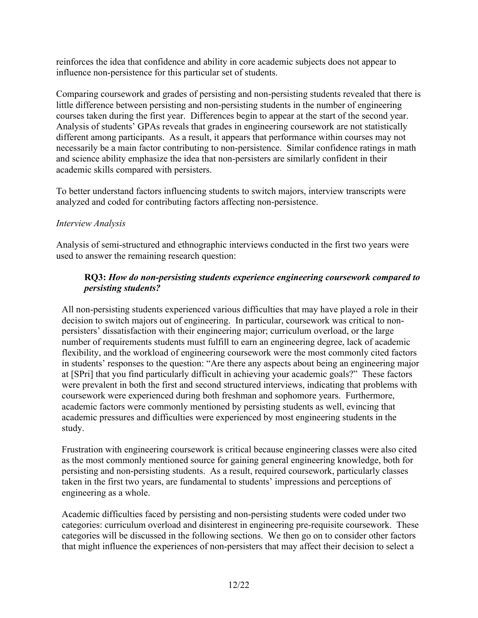reinforces the idea that confidence and ability in core academic subjects does not appear to influence non-persistence for this particular set of students.

Comparing coursework and grades of persisting and non-persisting students revealed that there is little difference between persisting and non-persisting students in the number of engineering courses taken during the first year. Differences begin to appear at the start of the second year. Analysis of students' GPAs reveals that grades in engineering coursework are not statistically different among participants. As a result, it appears that performance within courses may not necessarily be a main factor contributing to non-persistence. Similar confidence ratings in math and science ability emphasize the idea that non-persisters are similarly confident in their academic skills compared with persisters.

To better understand factors influencing students to switch majors, interview transcripts were analyzed and coded for contributing factors affecting non-persistence.

#### *Interview Analysis*

Analysis of semi-structured and ethnographic interviews conducted in the first two years were used to answer the remaining research question:

#### **RQ3:** *How do non-persisting students experience engineering coursework compared to persisting students?*

All non-persisting students experienced various difficulties that may have played a role in their decision to switch majors out of engineering. In particular, coursework was critical to nonpersisters' dissatisfaction with their engineering major; curriculum overload, or the large number of requirements students must fulfill to earn an engineering degree, lack of academic flexibility, and the workload of engineering coursework were the most commonly cited factors in students' responses to the question: "Are there any aspects about being an engineering major at [SPri] that you find particularly difficult in achieving your academic goals?" These factors were prevalent in both the first and second structured interviews, indicating that problems with coursework were experienced during both freshman and sophomore years. Furthermore, academic factors were commonly mentioned by persisting students as well, evincing that academic pressures and difficulties were experienced by most engineering students in the study.

Frustration with engineering coursework is critical because engineering classes were also cited as the most commonly mentioned source for gaining general engineering knowledge, both for persisting and non-persisting students. As a result, required coursework, particularly classes taken in the first two years, are fundamental to students' impressions and perceptions of engineering as a whole.

Academic difficulties faced by persisting and non-persisting students were coded under two categories: curriculum overload and disinterest in engineering pre-requisite coursework. These categories will be discussed in the following sections. We then go on to consider other factors that might influence the experiences of non-persisters that may affect their decision to select a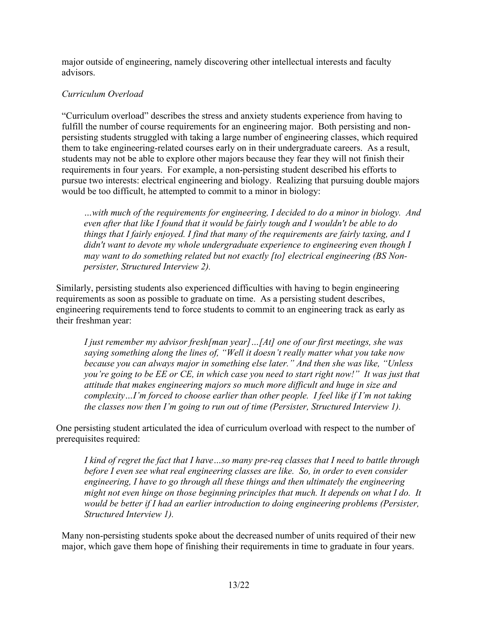major outside of engineering, namely discovering other intellectual interests and faculty advisors.

### *Curriculum Overload*

"Curriculum overload" describes the stress and anxiety students experience from having to fulfill the number of course requirements for an engineering major. Both persisting and nonpersisting students struggled with taking a large number of engineering classes, which required them to take engineering-related courses early on in their undergraduate careers. As a result, students may not be able to explore other majors because they fear they will not finish their requirements in four years. For example, a non-persisting student described his efforts to pursue two interests: electrical engineering and biology. Realizing that pursuing double majors would be too difficult, he attempted to commit to a minor in biology:

*…with much of the requirements for engineering, I decided to do a minor in biology. And even after that like I found that it would be fairly tough and I wouldn't be able to do things that I fairly enjoyed. I find that many of the requirements are fairly taxing, and I didn't want to devote my whole undergraduate experience to engineering even though I may want to do something related but not exactly [to] electrical engineering (BS Nonpersister, Structured Interview 2).*

Similarly, persisting students also experienced difficulties with having to begin engineering requirements as soon as possible to graduate on time. As a persisting student describes, engineering requirements tend to force students to commit to an engineering track as early as their freshman year:

*I just remember my advisor fresh[man year]…[At] one of our first meetings, she was saying something along the lines of, "Well it doesn't really matter what you take now because you can always major in something else later." And then she was like, "Unless you're going to be EE or CE, in which case you need to start right now!" It was just that attitude that makes engineering majors so much more difficult and huge in size and complexity…I'm forced to choose earlier than other people. I feel like if I'm not taking the classes now then I'm going to run out of time (Persister, Structured Interview 1).*

One persisting student articulated the idea of curriculum overload with respect to the number of prerequisites required:

*I kind of regret the fact that I have…so many pre-req classes that I need to battle through before I even see what real engineering classes are like. So, in order to even consider engineering, I have to go through all these things and then ultimately the engineering might not even hinge on those beginning principles that much. It depends on what I do. It would be better if I had an earlier introduction to doing engineering problems (Persister, Structured Interview 1).*

Many non-persisting students spoke about the decreased number of units required of their new major, which gave them hope of finishing their requirements in time to graduate in four years.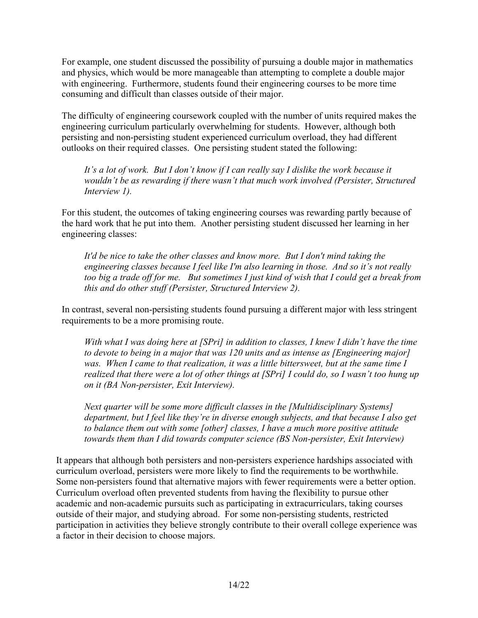For example, one student discussed the possibility of pursuing a double major in mathematics and physics, which would be more manageable than attempting to complete a double major with engineering. Furthermore, students found their engineering courses to be more time consuming and difficult than classes outside of their major.

The difficulty of engineering coursework coupled with the number of units required makes the engineering curriculum particularly overwhelming for students. However, although both persisting and non-persisting student experienced curriculum overload, they had different outlooks on their required classes. One persisting student stated the following:

*It's a lot of work. But I don't know if I can really say I dislike the work because it wouldn't be as rewarding if there wasn't that much work involved (Persister, Structured Interview 1).* 

For this student, the outcomes of taking engineering courses was rewarding partly because of the hard work that he put into them. Another persisting student discussed her learning in her engineering classes:

*It'd be nice to take the other classes and know more. But I don't mind taking the engineering classes because I feel like I'm also learning in those. And so it's not really too big a trade off for me. But sometimes I just kind of wish that I could get a break from this and do other stuff (Persister, Structured Interview 2).*

In contrast, several non-persisting students found pursuing a different major with less stringent requirements to be a more promising route.

*With what I was doing here at [SPri] in addition to classes, I knew I didn't have the time to devote to being in a major that was 120 units and as intense as [Engineering major]*  was. When I came to that realization, it was a little bittersweet, but at the same time I *realized that there were a lot of other things at [SPri] I could do, so I wasn't too hung up on it (BA Non-persister, Exit Interview).*

*Next quarter will be some more difficult classes in the [Multidisciplinary Systems] department, but I feel like they're in diverse enough subjects, and that because I also get to balance them out with some [other] classes, I have a much more positive attitude towards them than I did towards computer science (BS Non-persister, Exit Interview)*

It appears that although both persisters and non-persisters experience hardships associated with curriculum overload, persisters were more likely to find the requirements to be worthwhile. Some non-persisters found that alternative majors with fewer requirements were a better option. Curriculum overload often prevented students from having the flexibility to pursue other academic and non-academic pursuits such as participating in extracurriculars, taking courses outside of their major, and studying abroad. For some non-persisting students, restricted participation in activities they believe strongly contribute to their overall college experience was a factor in their decision to choose majors.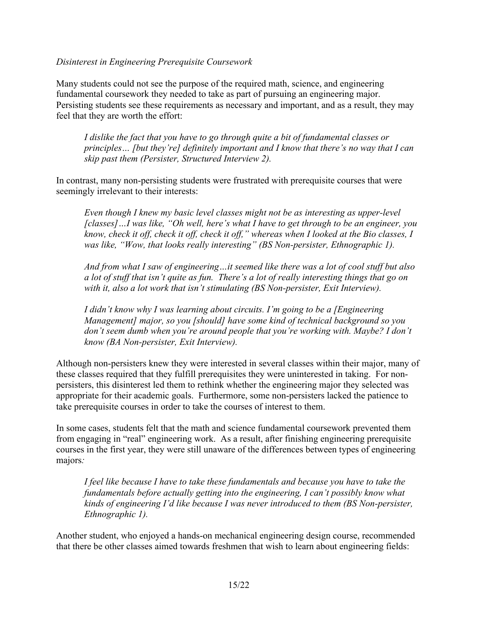#### *Disinterest in Engineering Prerequisite Coursework*

Many students could not see the purpose of the required math, science, and engineering fundamental coursework they needed to take as part of pursuing an engineering major. Persisting students see these requirements as necessary and important, and as a result, they may feel that they are worth the effort:

*I dislike the fact that you have to go through quite a bit of fundamental classes or principles… [but they're] definitely important and I know that there's no way that I can skip past them (Persister, Structured Interview 2).*

In contrast, many non-persisting students were frustrated with prerequisite courses that were seemingly irrelevant to their interests:

*Even though I knew my basic level classes might not be as interesting as upper-level [classes]…I was like, "Oh well, here's what I have to get through to be an engineer, you know, check it off, check it off, check it off," whereas when I looked at the Bio classes, I was like, "Wow, that looks really interesting" (BS Non-persister, Ethnographic 1).*

*And from what I saw of engineering…it seemed like there was a lot of cool stuff but also a lot of stuff that isn't quite as fun. There's a lot of really interesting things that go on with it, also a lot work that isn't stimulating (BS Non-persister, Exit Interview).*

*I didn't know why I was learning about circuits. I'm going to be a [Engineering Management] major, so you [should] have some kind of technical background so you don't seem dumb when you're around people that you're working with. Maybe? I don't know (BA Non-persister, Exit Interview).* 

Although non-persisters knew they were interested in several classes within their major, many of these classes required that they fulfill prerequisites they were uninterested in taking. For nonpersisters, this disinterest led them to rethink whether the engineering major they selected was appropriate for their academic goals. Furthermore, some non-persisters lacked the patience to take prerequisite courses in order to take the courses of interest to them.

In some cases, students felt that the math and science fundamental coursework prevented them from engaging in "real" engineering work. As a result, after finishing engineering prerequisite courses in the first year, they were still unaware of the differences between types of engineering majors*:*

*I feel like because I have to take these fundamentals and because you have to take the fundamentals before actually getting into the engineering, I can't possibly know what kinds of engineering I'd like because I was never introduced to them (BS Non-persister, Ethnographic 1).*

Another student, who enjoyed a hands-on mechanical engineering design course, recommended that there be other classes aimed towards freshmen that wish to learn about engineering fields: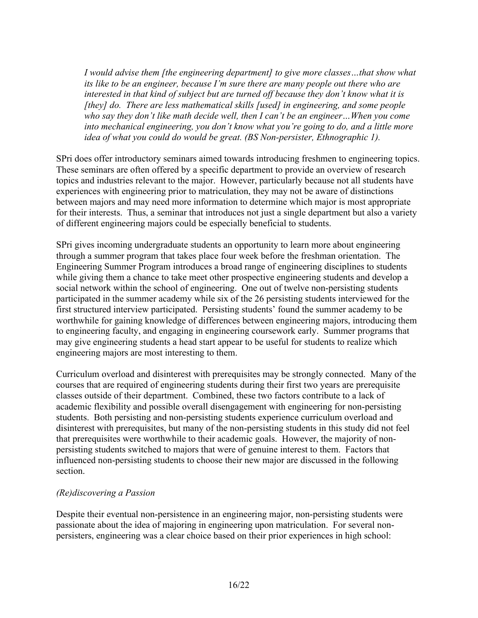*I* would advise them *[the engineering department] to give more classes...that show what its like to be an engineer, because I'm sure there are many people out there who are interested in that kind of subject but are turned off because they don't know what it is [they] do. There are less mathematical skills [used] in engineering, and some people*  who say they don't like math decide well, then I can't be an engineer...When you come *into mechanical engineering, you don't know what you're going to do, and a little more idea of what you could do would be great. (BS Non-persister, Ethnographic 1).*

SPri does offer introductory seminars aimed towards introducing freshmen to engineering topics. These seminars are often offered by a specific department to provide an overview of research topics and industries relevant to the major. However, particularly because not all students have experiences with engineering prior to matriculation, they may not be aware of distinctions between majors and may need more information to determine which major is most appropriate for their interests. Thus, a seminar that introduces not just a single department but also a variety of different engineering majors could be especially beneficial to students.

SPri gives incoming undergraduate students an opportunity to learn more about engineering through a summer program that takes place four week before the freshman orientation. The Engineering Summer Program introduces a broad range of engineering disciplines to students while giving them a chance to take meet other prospective engineering students and develop a social network within the school of engineering. One out of twelve non-persisting students participated in the summer academy while six of the 26 persisting students interviewed for the first structured interview participated. Persisting students' found the summer academy to be worthwhile for gaining knowledge of differences between engineering majors, introducing them to engineering faculty, and engaging in engineering coursework early. Summer programs that may give engineering students a head start appear to be useful for students to realize which engineering majors are most interesting to them.

Curriculum overload and disinterest with prerequisites may be strongly connected. Many of the courses that are required of engineering students during their first two years are prerequisite classes outside of their department. Combined, these two factors contribute to a lack of academic flexibility and possible overall disengagement with engineering for non-persisting students. Both persisting and non-persisting students experience curriculum overload and disinterest with prerequisites, but many of the non-persisting students in this study did not feel that prerequisites were worthwhile to their academic goals. However, the majority of nonpersisting students switched to majors that were of genuine interest to them. Factors that influenced non-persisting students to choose their new major are discussed in the following section.

#### *(Re)discovering a Passion*

Despite their eventual non-persistence in an engineering major, non-persisting students were passionate about the idea of majoring in engineering upon matriculation. For several nonpersisters, engineering was a clear choice based on their prior experiences in high school: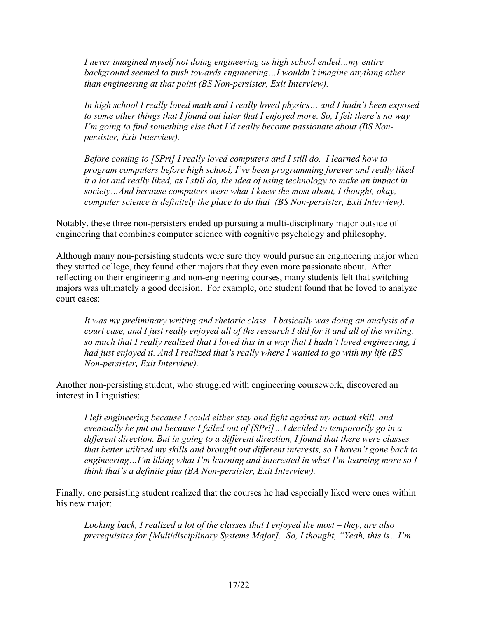*I never imagined myself not doing engineering as high school ended…my entire background seemed to push towards engineering…I wouldn't imagine anything other than engineering at that point (BS Non-persister, Exit Interview).*

*In high school I really loved math and I really loved physics… and I hadn't been exposed to some other things that I found out later that I enjoyed more. So, I felt there's no way I'm going to find something else that I'd really become passionate about (BS Nonpersister, Exit Interview).*

*Before coming to [SPri] I really loved computers and I still do. I learned how to program computers before high school, I've been programming forever and really liked it a lot and really liked, as I still do, the idea of using technology to make an impact in society…And because computers were what I knew the most about, I thought, okay, computer science is definitely the place to do that (BS Non-persister, Exit Interview).*

Notably, these three non-persisters ended up pursuing a multi-disciplinary major outside of engineering that combines computer science with cognitive psychology and philosophy.

Although many non-persisting students were sure they would pursue an engineering major when they started college, they found other majors that they even more passionate about. After reflecting on their engineering and non-engineering courses, many students felt that switching majors was ultimately a good decision. For example, one student found that he loved to analyze court cases:

*It was my preliminary writing and rhetoric class. I basically was doing an analysis of a court case, and I just really enjoyed all of the research I did for it and all of the writing, so much that I really realized that I loved this in a way that I hadn't loved engineering, I had just enjoyed it. And I realized that's really where I wanted to go with my life (BS Non-persister, Exit Interview).* 

Another non-persisting student, who struggled with engineering coursework, discovered an interest in Linguistics:

*I left engineering because I could either stay and fight against my actual skill, and eventually be put out because I failed out of [SPri]…I decided to temporarily go in a different direction. But in going to a different direction, I found that there were classes that better utilized my skills and brought out different interests, so I haven't gone back to engineering…I'm liking what I'm learning and interested in what I'm learning more so I think that's a definite plus (BA Non-persister, Exit Interview).*

Finally, one persisting student realized that the courses he had especially liked were ones within his new major:

*Looking back, I realized a lot of the classes that I enjoyed the most – they, are also prerequisites for [Multidisciplinary Systems Major]. So, I thought, "Yeah, this is…I'm*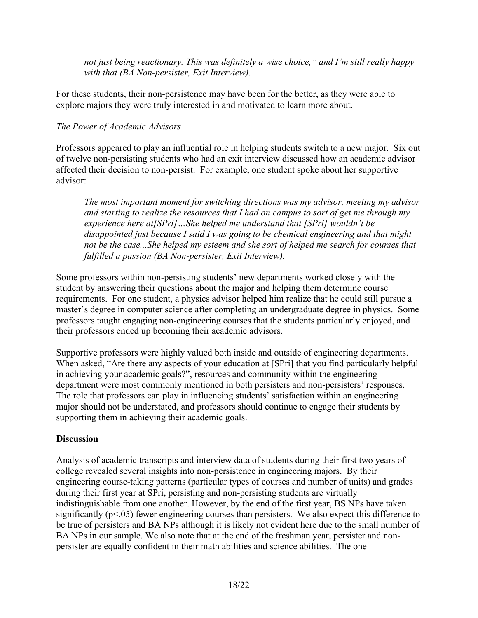*not just being reactionary. This was definitely a wise choice," and I'm still really happy with that (BA Non-persister, Exit Interview).*

For these students, their non-persistence may have been for the better, as they were able to explore majors they were truly interested in and motivated to learn more about.

## *The Power of Academic Advisors*

Professors appeared to play an influential role in helping students switch to a new major. Six out of twelve non-persisting students who had an exit interview discussed how an academic advisor affected their decision to non-persist. For example, one student spoke about her supportive advisor:

*The most important moment for switching directions was my advisor, meeting my advisor and starting to realize the resources that I had on campus to sort of get me through my experience here at[SPri]…She helped me understand that [SPri] wouldn't be disappointed just because I said I was going to be chemical engineering and that might*  not be the case...She helped my esteem and she sort of helped me search for courses that *fulfilled a passion (BA Non-persister, Exit Interview).*

Some professors within non-persisting students' new departments worked closely with the student by answering their questions about the major and helping them determine course requirements. For one student, a physics advisor helped him realize that he could still pursue a master's degree in computer science after completing an undergraduate degree in physics. Some professors taught engaging non-engineering courses that the students particularly enjoyed, and their professors ended up becoming their academic advisors.

Supportive professors were highly valued both inside and outside of engineering departments. When asked, "Are there any aspects of your education at [SPri] that you find particularly helpful in achieving your academic goals?", resources and community within the engineering department were most commonly mentioned in both persisters and non-persisters' responses. The role that professors can play in influencing students' satisfaction within an engineering major should not be understated, and professors should continue to engage their students by supporting them in achieving their academic goals.

## **Discussion**

Analysis of academic transcripts and interview data of students during their first two years of college revealed several insights into non-persistence in engineering majors. By their engineering course-taking patterns (particular types of courses and number of units) and grades during their first year at SPri, persisting and non-persisting students are virtually indistinguishable from one another. However, by the end of the first year, BS NPs have taken significantly  $(p<.05)$  fewer engineering courses than persisters. We also expect this difference to be true of persisters and BA NPs although it is likely not evident here due to the small number of BA NPs in our sample. We also note that at the end of the freshman year, persister and nonpersister are equally confident in their math abilities and science abilities. The one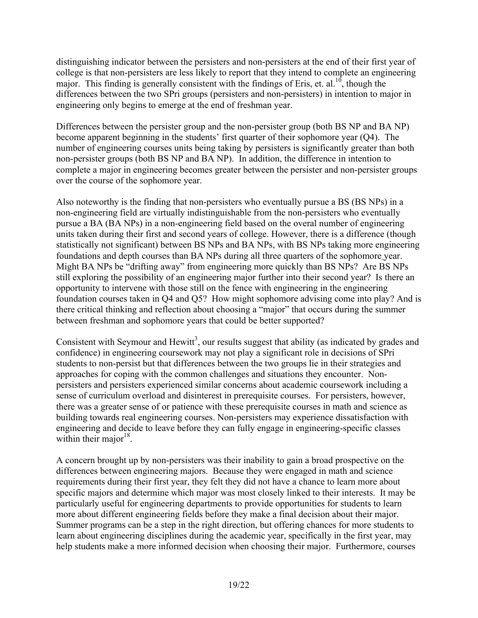distinguishing indicator between the persisters and non-persisters at the end of their first year of college is that non-persisters are less likely to report that they intend to complete an engineering major. This finding is generally consistent with the findings of Eris, et. al.<sup>10</sup>, though the differences between the two SPri groups (persisters and non-persisters) in intention to major in engineering only begins to emerge at the end of freshman year.

Differences between the persister group and the non-persister group (both BS NP and BA NP) become apparent beginning in the students' first quarter of their sophomore year (Q4). The number of engineering courses units being taking by persisters is significantly greater than both non-persister groups (both BS NP and BA NP). In addition, the difference in intention to complete a major in engineering becomes greater between the persister and non-persister groups over the course of the sophomore year.

Also noteworthy is the finding that non-persisters who eventually pursue a BS (BS NPs) in a non-engineering field are virtually indistinguishable from the non-persisters who eventually pursue a BA (BA NPs) in a non-engineering field based on the overal number of engineering units taken during their first and second years of college. However, there is a difference (though statistically not significant) between BS NPs and BA NPs, with BS NPs taking more engineering foundations and depth courses than BA NPs during all three quarters of the sophomore year. Might BA NPs be "drifting away" from engineering more quickly than BS NPs? Are BS NPs still exploring the possibility of an engineering major further into their second year? Is there an opportunity to intervene with those still on the fence with engineering in the engineering foundation courses taken in Q4 and Q5? How might sophomore advising come into play? And is there critical thinking and reflection about choosing a "major" that occurs during the summer between freshman and sophomore years that could be better supported?

Consistent with Seymour and Hewitt<sup>3</sup>, our results suggest that ability (as indicated by grades and confidence) in engineering coursework may not play a significant role in decisions of SPri students to non-persist but that differences between the two groups lie in their strategies and approaches for coping with the common challenges and situations they encounter. Nonpersisters and persisters experienced similar concerns about academic coursework including a sense of curriculum overload and disinterest in prerequisite courses. For persisters, however, there was a greater sense of or patience with these prerequisite courses in math and science as building towards real engineering courses. Non-persisters may experience dissatisfaction with engineering and decide to leave before they can fully engage in engineering-specific classes within their major<sup>18</sup>.

A concern brought up by non-persisters was their inability to gain a broad prospective on the differences between engineering majors. Because they were engaged in math and science requirements during their first year, they felt they did not have a chance to learn more about specific majors and determine which major was most closely linked to their interests. It may be particularly useful for engineering departments to provide opportunities for students to learn more about different engineering fields before they make a final decision about their major. Summer programs can be a step in the right direction, but offering chances for more students to learn about engineering disciplines during the academic year, specifically in the first year, may help students make a more informed decision when choosing their major. Furthermore, courses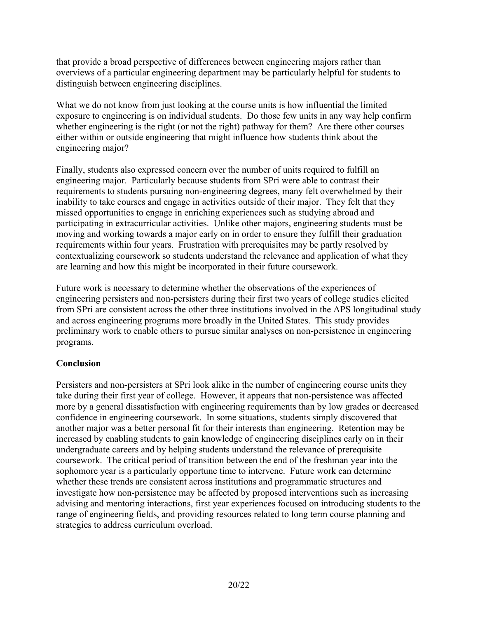that provide a broad perspective of differences between engineering majors rather than overviews of a particular engineering department may be particularly helpful for students to distinguish between engineering disciplines.

What we do not know from just looking at the course units is how influential the limited exposure to engineering is on individual students. Do those few units in any way help confirm whether engineering is the right (or not the right) pathway for them? Are there other courses either within or outside engineering that might influence how students think about the engineering major?

Finally, students also expressed concern over the number of units required to fulfill an engineering major. Particularly because students from SPri were able to contrast their requirements to students pursuing non-engineering degrees, many felt overwhelmed by their inability to take courses and engage in activities outside of their major. They felt that they missed opportunities to engage in enriching experiences such as studying abroad and participating in extracurricular activities. Unlike other majors, engineering students must be moving and working towards a major early on in order to ensure they fulfill their graduation requirements within four years. Frustration with prerequisites may be partly resolved by contextualizing coursework so students understand the relevance and application of what they are learning and how this might be incorporated in their future coursework.

Future work is necessary to determine whether the observations of the experiences of engineering persisters and non-persisters during their first two years of college studies elicited from SPri are consistent across the other three institutions involved in the APS longitudinal study and across engineering programs more broadly in the United States. This study provides preliminary work to enable others to pursue similar analyses on non-persistence in engineering programs.

#### **Conclusion**

Persisters and non-persisters at SPri look alike in the number of engineering course units they take during their first year of college. However, it appears that non-persistence was affected more by a general dissatisfaction with engineering requirements than by low grades or decreased confidence in engineering coursework. In some situations, students simply discovered that another major was a better personal fit for their interests than engineering. Retention may be increased by enabling students to gain knowledge of engineering disciplines early on in their undergraduate careers and by helping students understand the relevance of prerequisite coursework. The critical period of transition between the end of the freshman year into the sophomore year is a particularly opportune time to intervene. Future work can determine whether these trends are consistent across institutions and programmatic structures and investigate how non-persistence may be affected by proposed interventions such as increasing advising and mentoring interactions, first year experiences focused on introducing students to the range of engineering fields, and providing resources related to long term course planning and strategies to address curriculum overload.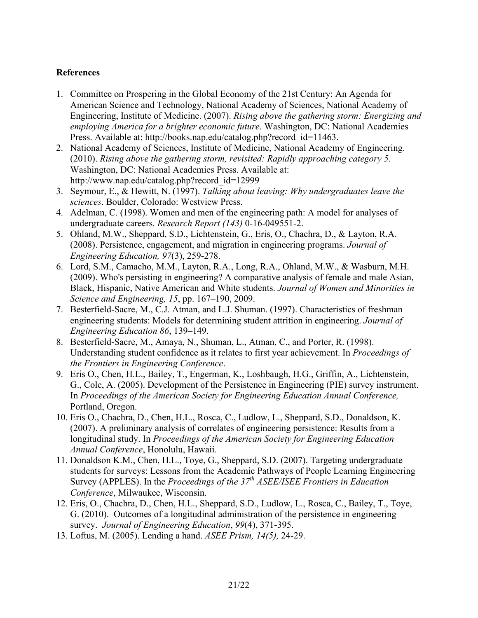### **References**

- 1. Committee on Prospering in the Global Economy of the 21st Century: An Agenda for American Science and Technology, National Academy of Sciences, National Academy of Engineering, Institute of Medicine. (2007). *Rising above the gathering storm: Energizing and employing America for a brighter economic future*. Washington, DC: National Academies Press. Available at: http://books.nap.edu/catalog.php?record\_id=11463.
- 2. National Academy of Sciences, Institute of Medicine, National Academy of Engineering. (2010). *Rising above the gathering storm, revisited: Rapidly approaching category 5*. Washington, DC: National Academies Press. Available at: http://www.nap.edu/catalog.php?record\_id=12999
- 3. Seymour, E., & Hewitt, N. (1997). *Talking about leaving: Why undergraduates leave the sciences*. Boulder, Colorado: Westview Press.
- 4. Adelman, C. (1998). Women and men of the engineering path: A model for analyses of undergraduate careers. *Research Report (143)* 0-16-049551-2.
- 5. Ohland, M.W., Sheppard, S.D., Lichtenstein, G., Eris, O., Chachra, D., & Layton, R.A. (2008). Persistence, engagement, and migration in engineering programs. *Journal of Engineering Education, 97*(3), 259-278.
- 6. Lord, S.M., Camacho, M.M., Layton, R.A., Long, R.A., Ohland, M.W., & Wasburn, M.H. (2009). Who's persisting in engineering? A comparative analysis of female and male Asian, Black, Hispanic, Native American and White students. *Journal of Women and Minorities in Science and Engineering, 15*, pp. 167–190, 2009.
- 7. Besterfield-Sacre, M., C.J. Atman, and L.J. Shuman. (1997). Characteristics of freshman engineering students: Models for determining student attrition in engineering. *Journal of Engineering Education 86*, 139–149.
- 8. Besterfield-Sacre, M., Amaya, N., Shuman, L., Atman, C., and Porter, R. (1998). Understanding student confidence as it relates to first year achievement. In *Proceedings of the Frontiers in Engineering Conference*.
- 9. Eris O., Chen, H.L., Bailey, T., Engerman, K., Loshbaugh, H.G., Griffin, A., Lichtenstein, G., Cole, A. (2005). Development of the Persistence in Engineering (PIE) survey instrument. In *Proceedings of the American Society for Engineering Education Annual Conference,*  Portland, Oregon.
- 10. Eris O., Chachra, D., Chen, H.L., Rosca, C., Ludlow, L., Sheppard, S.D., Donaldson, K. (2007). A preliminary analysis of correlates of engineering persistence: Results from a longitudinal study. In *Proceedings of the American Society for Engineering Education Annual Conference*, Honolulu, Hawaii.
- 11. Donaldson K.M., Chen, H.L., Toye, G., Sheppard, S.D. (2007). Targeting undergraduate students for surveys: Lessons from the Academic Pathways of People Learning Engineering Survey (APPLES). In the *Proceedings of the 37th ASEE/ISEE Frontiers in Education Conference*, Milwaukee, Wisconsin.
- 12. Eris, O., Chachra, D., Chen, H.L., Sheppard, S.D., Ludlow, L., Rosca, C., Bailey, T., Toye, G. (2010). Outcomes of a longitudinal administration of the persistence in engineering survey. *Journal of Engineering Education*, *99*(4), 371-395.
- 13. Loftus, M. (2005). Lending a hand. *ASEE Prism, 14(5),* 24-29.